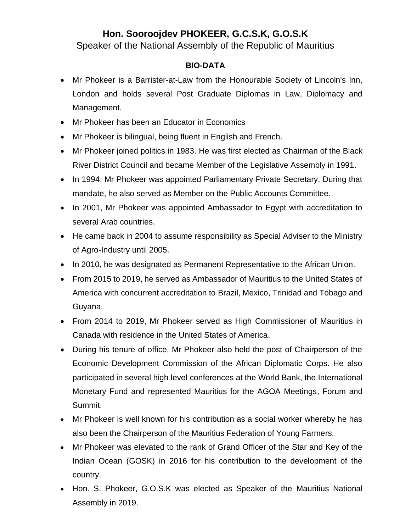## **Hon. Sooroojdev PHOKEER, G.C.S.K, G.O.S.K**

Speaker of the National Assembly of the Republic of Mauritius

## **BIO-DATA**

- Mr Phokeer is a Barrister-at-Law from the Honourable Society of Lincoln's Inn, London and holds several Post Graduate Diplomas in Law, Diplomacy and Management.
- Mr Phokeer has been an Educator in Economics
- Mr Phokeer is bilingual, being fluent in English and French.
- Mr Phokeer joined politics in 1983. He was first elected as Chairman of the Black River District Council and became Member of the Legislative Assembly in 1991.
- In 1994, Mr Phokeer was appointed Parliamentary Private Secretary. During that mandate, he also served as Member on the Public Accounts Committee.
- In 2001, Mr Phokeer was appointed Ambassador to Egypt with accreditation to several Arab countries.
- He came back in 2004 to assume responsibility as Special Adviser to the Ministry of Agro-Industry until 2005.
- In 2010, he was designated as Permanent Representative to the African Union.
- From 2015 to 2019, he served as Ambassador of Mauritius to the United States of America with concurrent accreditation to Brazil, Mexico, Trinidad and Tobago and Guyana.
- From 2014 to 2019, Mr Phokeer served as High Commissioner of Mauritius in Canada with residence in the United States of America.
- During his tenure of office, Mr Phokeer also held the post of Chairperson of the Economic Development Commission of the African Diplomatic Corps. He also participated in several high level conferences at the World Bank, the International Monetary Fund and represented Mauritius for the AGOA Meetings, Forum and Summit.
- Mr Phokeer is well known for his contribution as a social worker whereby he has also been the Chairperson of the Mauritius Federation of Young Farmers.
- Mr Phokeer was elevated to the rank of Grand Officer of the Star and Key of the Indian Ocean (GOSK) in 2016 for his contribution to the development of the country.
- Hon. S. Phokeer, G.O.S.K was elected as Speaker of the Mauritius National Assembly in 2019.